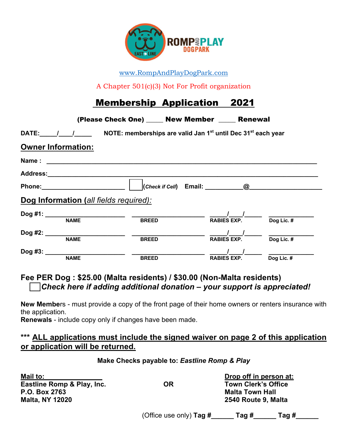

www.RompAndPlayDogPark.com

A Chapter 501(c)(3) Not For Profit organization

# Membership Application 2021

| (Please Check One) _____ New Member _____ Renewal                                                |                                  |
|--------------------------------------------------------------------------------------------------|----------------------------------|
| DATE: $1$ / NOTE: memberships are valid Jan 1 <sup>st</sup> until Dec 31 <sup>st</sup> each year |                                  |
| <b>Owner Information:</b>                                                                        |                                  |
|                                                                                                  |                                  |
| Address:_______________________                                                                  |                                  |
| Phone: ________________________<br>$ $ (Check if Cell) Email: $\qquad \qquad \textcircled{a}$    |                                  |
| Dog Information (all fields required):                                                           |                                  |
| Dog #1: __________________________<br><b>NAME</b><br><b>BREED</b>                                | Dog Lic. $#$<br>RABIES EXP.      |
| Dog #2: _________<br><b>NAME</b><br><b>BREED</b>                                                 | Dog Lic. #<br><b>RABIES EXP.</b> |
| $Dog$ #3: $\_\_$<br><b>NAME</b><br><b>BREED</b>                                                  | Dog Lic. #<br><b>RABIES EXP.</b> |

## **Fee PER Dog : \$25.00 (Malta residents) / \$30.00 (Non-Malta residents)** *Check here if adding additional donation – your support is appreciated!*

**New Membe**rs - must provide a copy of the front page of their home owners or renters insurance with the application.

**Renewals** - include copy only if changes have been made.

### **\*\*\* ALL applications must include the signed waiver on page 2 of this application or application will be returned.**

#### **Make Checks payable to:** *Eastline Romp & Play*

| Mail to:                   |    | Drop off in person at:     |
|----------------------------|----|----------------------------|
| Eastline Romp & Play, Inc. | OR | <b>Town Clerk's Office</b> |
| P.O. Box 2763              |    | <b>Malta Town Hall</b>     |
| <b>Malta, NY 12020</b>     |    | 2540 Route 9, Malta        |
|                            |    |                            |

(Office use only) **Tag #\_\_\_\_\_\_ Tag #\_\_\_\_\_\_ Tag #\_\_\_\_\_\_**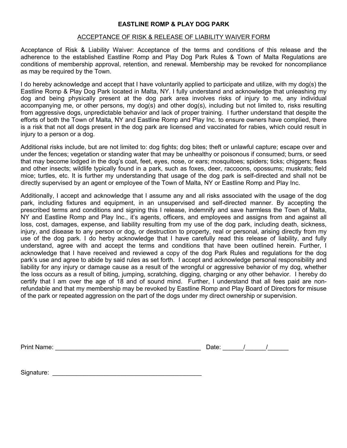#### ACCEPTANCE OF RISK & RELEASE OF LIABILITY WAIVER FORM

Acceptance of Risk & Liability Waiver: Acceptance of the terms and conditions of this release and the adherence to the established Eastline Romp and Play Dog Park Rules & Town of Malta Regulations are conditions of membership approval, retention, and renewal. Membership may be revoked for noncompliance as may be required by the Town.

I do hereby acknowledge and accept that I have voluntarily applied to participate and utilize, with my dog(s) the Eastline Romp & Play Dog Park located in Malta, NY. I fully understand and acknowledge that unleashing my dog and being physically present at the dog park area involves risks of injury to me, any individual accompanying me, or other persons, my dog(s) and other dog(s), including but not limited to, risks resulting from aggressive dogs, unpredictable behavior and lack of proper training. I further understand that despite the efforts of both the Town of Malta, NY and Eastline Romp and Play Inc. to ensure owners have complied, there is a risk that not all dogs present in the dog park are licensed and vaccinated for rabies, which could result in injury to a person or a dog.

Additional risks include, but are not limited to: dog fights; dog bites; theft or unlawful capture; escape over and under the fences; vegetation or standing water that may be unhealthy or poisonous if consumed; burrs, or seed that may become lodged in the dog's coat, feet, eyes, nose, or ears; mosquitoes; spiders; ticks; chiggers; fleas and other insects; wildlife typically found in a park, such as foxes, deer, raccoons, opossums; muskrats; field mice; turtles, etc. It is further my understanding that usage of the dog park is self-directed and shall not be directly supervised by an agent or employee of the Town of Malta, NY or Eastline Romp and Play Inc.

Additionally, I accept and acknowledge that I assume any and all risks associated with the usage of the dog park, including fixtures and equipment, in an unsupervised and self-directed manner. By accepting the prescribed terms and conditions and signing this I release, indemnify and save harmless the Town of Malta, NY and Eastline Romp and Play Inc., it's agents, officers, and employees and assigns from and against all loss, cost, damages, expense, and liability resulting from my use of the dog park, including death, sickness, injury, and disease to any person or dog, or destruction to property, real or personal, arising directly from my use of the dog park. I do herby acknowledge that I have carefully read this release of liability, and fully understand, agree with and accept the terms and conditions that have been outlined herein. Further, I acknowledge that I have received and reviewed a copy of the dog Park Rules and regulations for the dog park's use and agree to abide by said rules as set forth. I accept and acknowledge personal responsibility and liability for any injury or damage cause as a result of the wrongful or aggressive behavior of my dog, whether the loss occurs as a result of biting, jumping, scratching, digging, charging or any other behavior. I hereby do certify that I am over the age of 18 and of sound mind. Further, I understand that all fees paid are nonrefundable and that my membership may be revoked by Eastline Romp and Play Board of Directors for misuse of the park or repeated aggression on the part of the dogs under my direct ownership or supervision.

| <b>Print Name:</b> |  |  |  |
|--------------------|--|--|--|
|                    |  |  |  |

Signature: \_\_\_\_\_\_\_\_\_\_\_\_\_\_\_\_\_\_\_\_\_\_\_\_\_\_\_\_\_\_\_\_\_\_\_\_\_\_\_\_\_\_\_